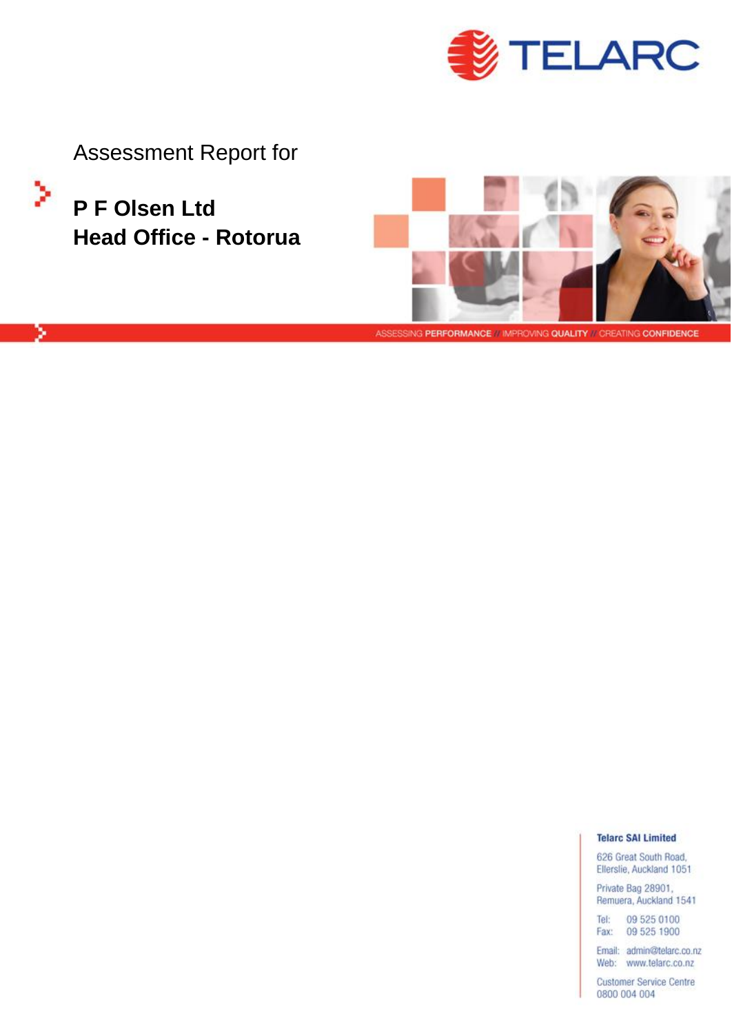

**Assessment Report for** 

P F Olsen Ltd **Head Office - Rotorua** 

×

ż



ASSESSING PERFORMANCE // IMPROVING QUALITY // CREATING CONFIDENCE

**Telarc SAI Limited** 

626 Great South Road, Ellerslie, Auckland 1051

Private Bag 28901, Remuera, Auckland 1541

Tel: 09 525 0100 Fax: 09 525 1900

Email: admin@telarc.co.nz Web: www.telarc.co.nz

**Customer Service Centre** 0800 004 004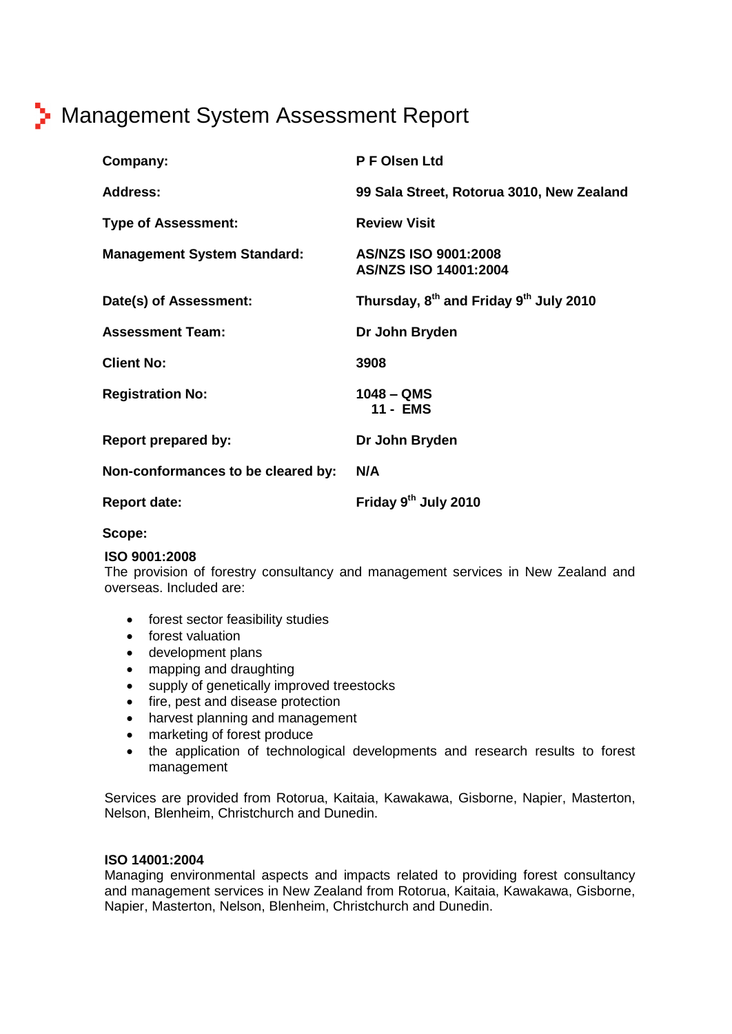# **B** Management System Assessment Report

| Company:                           | P F Olsen Ltd                                                  |
|------------------------------------|----------------------------------------------------------------|
| <b>Address:</b>                    | 99 Sala Street, Rotorua 3010, New Zealand                      |
| <b>Type of Assessment:</b>         | <b>Review Visit</b>                                            |
| <b>Management System Standard:</b> | AS/NZS ISO 9001:2008<br>AS/NZS ISO 14001:2004                  |
| Date(s) of Assessment:             | Thursday, 8 <sup>th</sup> and Friday 9 <sup>th</sup> July 2010 |
| <b>Assessment Team:</b>            | Dr John Bryden                                                 |
| <b>Client No:</b>                  | 3908                                                           |
| <b>Registration No:</b>            | $1048 - QMS$<br>11 - EMS                                       |
| <b>Report prepared by:</b>         | Dr John Bryden                                                 |
| Non-conformances to be cleared by: | N/A                                                            |
| <b>Report date:</b>                | Friday 9 <sup>th</sup> July 2010                               |

### **Scope:**

#### **ISO 9001:2008**

The provision of forestry consultancy and management services in New Zealand and overseas. Included are:

- **•** forest sector feasibility studies
- **•** forest valuation
- development plans
- mapping and draughting
- supply of genetically improved treestocks
- fire, pest and disease protection
- fire, pest and disease protection<br>• harvest planning and management
- marketing of forest produce
- the application of technological developments and research results to forest management

Services are provided from Rotorua, Kaitaia, Kawakawa, Gisborne, Napier, Masterton, Nelson, Blenheim, Christchurch and Dunedin.

#### **ISO 14001:2004**

Managing environmental aspects and impacts related to providing forest consultancy and management services in New Zealand from Rotorua, Kaitaia, Kawakawa, Gisborne, Napier, Masterton, Nelson, Blenheim, Christchurch and Dunedin.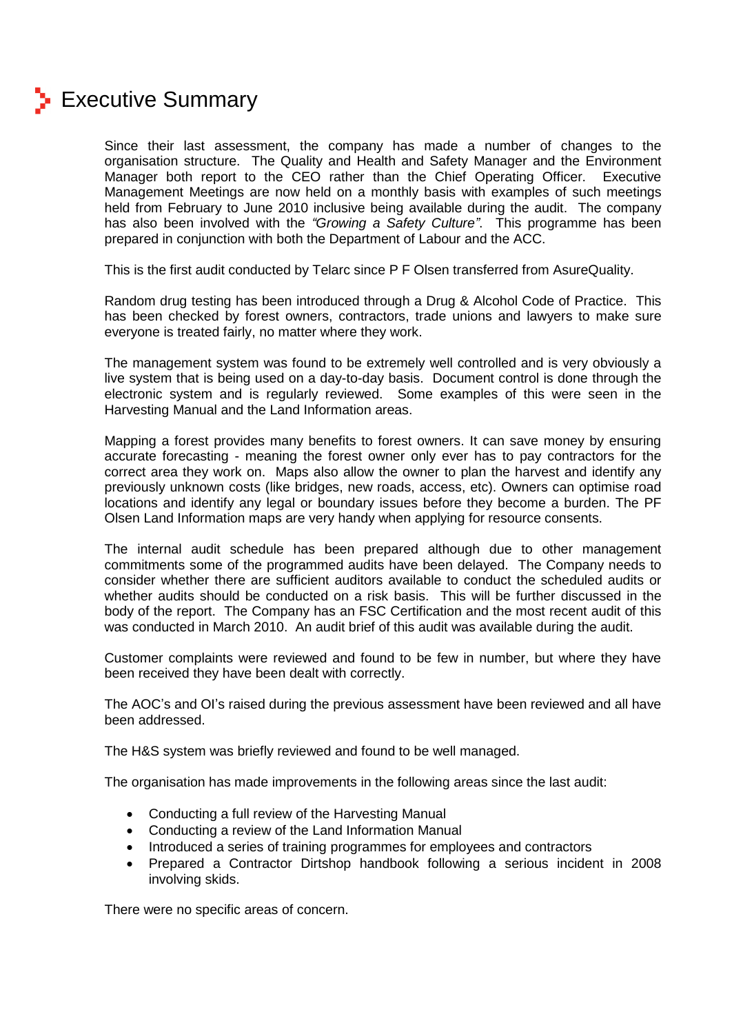

## **Executive Summary**

Since their last assessment, the company has made a number of changes to the organisation structure. The Quality and Health and Safety Manager and the Environment Manager both report to the CEO rather than the Chief Operating Officer. Executive Management Meetings are now held on a monthly basis with examples of such meetings<br>held from February to June 2010 inclusive being available during the audit. The company<br>has also been involved with the *''Growing a Safety* held from February to June 2010 inclusive being available during the audit. The company prepared in conjunction with both the Department of Labour and the ACC.

This is the first audit conducted by Telarc since P F Olsen transferred from AsureQuality.

Random drug testing has been introduced through a Drug & Alcohol Code of Practice. This has been checked by forest owners, contractors, trade unions and lawyers to make sure everyone is treated fairly, no matter where they work.

The management system was found to be extremely well controlled and is very obviously a live system that is being used on a day-to-day basis. Document control is done through the electronic system and is regularly reviewed. Some examples of this were seen in the Harvesting Manual and the Land Information areas.

Mapping a forest provides many benefits to forest owners. It can save money by ensuring accurate forecasting - meaning the forest owner only ever has to pay contractors for the correct area they work on. Maps also allow the owner to plan the harvest and identify any previously unknown costs (like bridges, new roads, access, etc). Owners can optimise road locations and identify any legal or boundary issues before they become a burden. The PF Olsen Land Information maps are very handy when applying for resource consents.

The internal audit schedule has been prepared although due to other management commitments some of the programmed audits have been delayed. The Company needs to consider whether there are sufficient auditors available to conduct the scheduled audits or whether audits should be conducted on a risk basis. This will be further discussed in the body of the report. The Company has an FSC Certification and the most recent audit of this was conducted in March 2010. An audit brief of this audit was available during the audit.

Customer complaints were reviewed and found to be few in number, but where they have been received they have been dealt with correctly.

The AOC's and OI's raised during the previous assessment have been reviewed and all have been addressed.

The H&S system was briefly reviewed and found to be well managed.

The organisation has made improvements in the following areas since the last audit:

- Conducting <sup>a</sup> full review of the Harvesting Manual
- **Conducting a full review of the Harvesting Manual**<br>• Conducting a review of the Land Information Manual • Conducting a review of the Land Information Manual
- Introduced a series of training programmes for employees and contractors
- Prepared a Contractor Dirtshop handbook following a serious incident in 2008 involving skids.

There were no specific areas of concern.